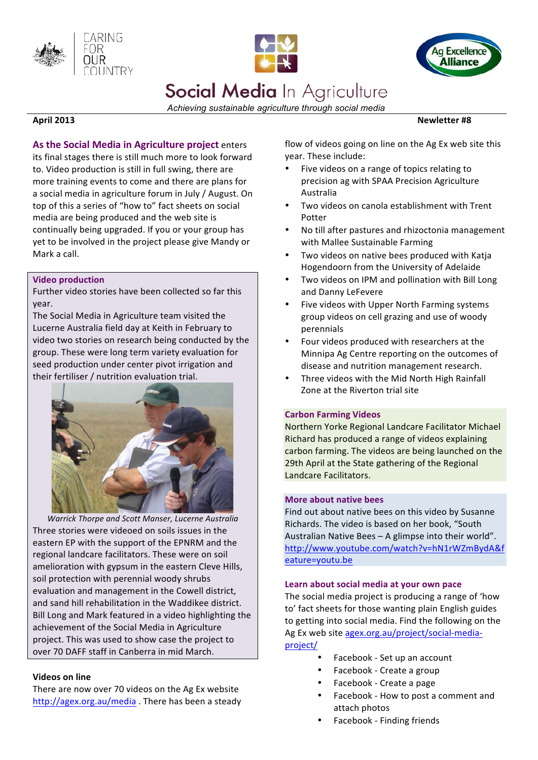





# Social Media In Agriculture

*Achieving sustainable agriculture through social media*

**April 2013** 

As the Social Media in Agriculture project enters its final stages there is still much more to look forward to. Video production is still in full swing, there are more training events to come and there are plans for a social media in agriculture forum in July / August. On top of this a series of "how to" fact sheets on social media are being produced and the web site is continually being upgraded. If you or your group has yet to be involved in the project please give Mandy or Mark a call.

#### **Video production**

Further video stories have been collected so far this year.

The Social Media in Agriculture team visited the Lucerne Australia field day at Keith in February to video two stories on research being conducted by the group. These were long term variety evaluation for seed production under center pivot irrigation and their fertiliser / nutrition evaluation trial.



Warrick Thorpe and Scott Manser, Lucerne Australia Three stories were videoed on soils issues in the eastern EP with the support of the EPNRM and the regional landcare facilitators. These were on soil amelioration with gypsum in the eastern Cleve Hills, soil protection with perennial woody shrubs evaluation and management in the Cowell district, and sand hill rehabilitation in the Waddikee district. Bill Long and Mark featured in a video highlighting the achievement of the Social Media in Agriculture project. This was used to show case the project to over 70 DAFF staff in Canberra in mid March.

#### **Videos on line**

There are now over 70 videos on the Ag Ex website http://agex.org.au/media . There has been a steady flow of videos going on line on the Ag Ex web site this vear. These include:

- Five videos on a range of topics relating to precision ag with SPAA Precision Agriculture Australia
- Two videos on canola establishment with Trent Potter
- No till after pastures and rhizoctonia management with Mallee Sustainable Farming
- Two videos on native bees produced with Katja Hogendoorn from the University of Adelaide
- Two videos on IPM and pollination with Bill Long and Danny LeFevere
- Five videos with Upper North Farming systems group videos on cell grazing and use of woody perennials
- Four videos produced with researchers at the Minnipa Ag Centre reporting on the outcomes of disease and nutrition management research.
- Three videos with the Mid North High Rainfall Zone at the Riverton trial site

#### **Carbon Farming Videos**

Northern Yorke Regional Landcare Facilitator Michael Richard has produced a range of videos explaining carbon farming. The videos are being launched on the 29th April at the State gathering of the Regional Landcare Facilitators.

#### **More about native bees**

Find out about native bees on this video by Susanne Richards. The video is based on her book, "South Australian Native Bees - A glimpse into their world". http://www.youtube.com/watch?v=hN1rWZmBydA&f eature=youtu.be 

#### Learn about social media at your own pace

The social media project is producing a range of 'how to' fact sheets for those wanting plain English guides to getting into social media. Find the following on the Ag Ex web site agex.org.au/project/social-mediaproject/

- Facebook Set up an account
- Facebook Create a group
- Facebook Create a page
- Facebook How to post a comment and attach photos
- Facebook Finding friends